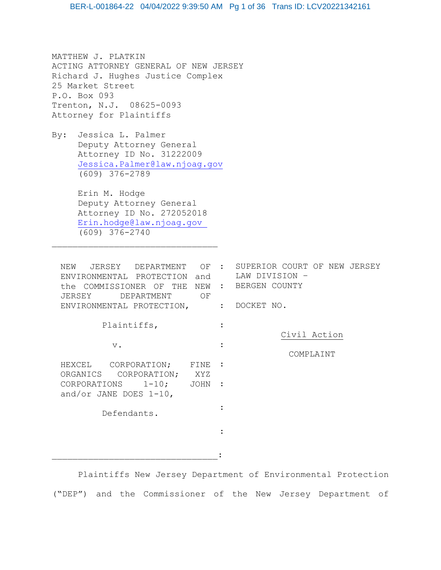MATTHEW J. PLATKIN ACTING ATTORNEY GENERAL OF NEW JERSEY Richard J. Hughes Justice Complex 25 Market Street P.O. Box 093 Trenton, N.J. 08625-0093 Attorney for Plaintiffs

By: Jessica L. Palmer Deputy Attorney General Attorney ID No. 31222009 [Jessica.Palmer@law.njoag.gov](mailto:Jessica.Palmer@law.njoag.gov) (609) 376-2789

> Erin M. Hodge Deputy Attorney General Attorney ID No. 272052018 [Erin.hodge@law.njoag.gov](mailto:Erin.hodge@law.njoag.gov)  (609) 376-2740

\_\_\_\_\_\_\_\_\_\_\_\_\_\_\_\_\_\_\_\_\_\_\_\_\_\_\_\_\_\_\_\_

NEW JERSEY DEPARTMENT OF : SUPERIOR COURT OF NEW JERSEY ENVIRONMENTAL PROTECTION and the COMMISSIONER OF THE NEW : BERGEN COUNTY JERSEY DEPARTMENT OF ENVIRONMENTAL PROTECTION, : DOCKET NO. Plaintiffs, v. HEXCEL CORPORATION; ORGANICS CORPORATION; XYZ<br>CORPORATIONS 1-10; JOHN CORPORATIONS and/or JANE DOES 1-10, Defendants. : : FINE : JOHN : : : LAW DIVISION – Civil Action COMPLAINT \_\_\_\_\_\_\_\_\_\_\_\_\_\_\_\_\_\_\_\_\_\_\_\_\_\_\_\_\_\_\_\_:

 Plaintiffs New Jersey Department of Environmental Protection ("DEP") and the Commissioner of the New Jersey Department of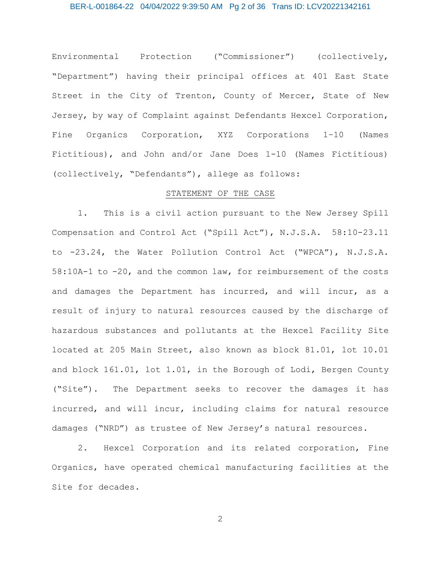Environmental Protection ("Commissioner") (collectively, "Department") having their principal offices at 401 East State Street in the City of Trenton, County of Mercer, State of New Jersey, by way of Complaint against Defendants Hexcel Corporation, Fine Organics Corporation, XYZ Corporations 1–10 (Names Fictitious), and John and/or Jane Does 1-10 (Names Fictitious) (collectively, "Defendants"), allege as follows:

## STATEMENT OF THE CASE

1. This is a civil action pursuant to the New Jersey Spill Compensation and Control Act ("Spill Act"), N.J.S.A. 58:10-23.11 to -23.24, the Water Pollution Control Act ("WPCA"), N.J.S.A. 58:10A-1 to -20, and the common law, for reimbursement of the costs and damages the Department has incurred, and will incur, as a result of injury to natural resources caused by the discharge of hazardous substances and pollutants at the Hexcel Facility Site located at 205 Main Street, also known as block 81.01, lot 10.01 and block 161.01, lot 1.01, in the Borough of Lodi, Bergen County ("Site"). The Department seeks to recover the damages it has incurred, and will incur, including claims for natural resource damages ("NRD") as trustee of New Jersey's natural resources.

2. Hexcel Corporation and its related corporation, Fine Organics, have operated chemical manufacturing facilities at the Site for decades.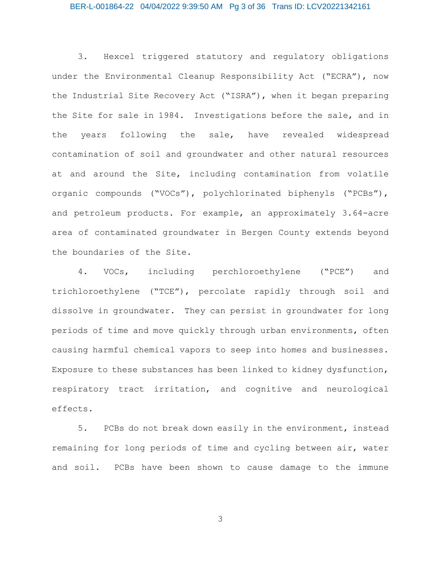# BER-L-001864-22 04/04/2022 9:39:50 AM Pg 3 of 36 Trans ID: LCV20221342161

3. Hexcel triggered statutory and regulatory obligations under the Environmental Cleanup Responsibility Act ("ECRA"), now the Industrial Site Recovery Act ("ISRA"), when it began preparing the Site for sale in 1984. Investigations before the sale, and in the years following the sale, have revealed widespread contamination of soil and groundwater and other natural resources at and around the Site, including contamination from volatile organic compounds ("VOCs"), polychlorinated biphenyls ("PCBs"), and petroleum products. For example, an approximately 3.64-acre area of contaminated groundwater in Bergen County extends beyond the boundaries of the Site.

4. VOCs, including perchloroethylene ("PCE") and trichloroethylene ("TCE"), percolate rapidly through soil and dissolve in groundwater. They can persist in groundwater for long periods of time and move quickly through urban environments, often causing harmful chemical vapors to seep into homes and businesses. Exposure to these substances has been linked to kidney dysfunction, respiratory tract irritation, and cognitive and neurological effects.

5. PCBs do not break down easily in the environment, instead remaining for long periods of time and cycling between air, water and soil. PCBs have been shown to cause damage to the immune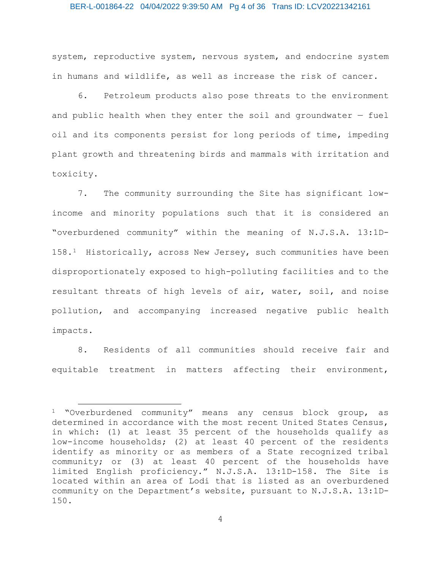## BER-L-001864-22 04/04/2022 9:39:50 AM Pg 4 of 36 Trans ID: LCV20221342161

system, reproductive system, nervous system, and endocrine system in humans and wildlife, as well as increase the risk of cancer.

6. Petroleum products also pose threats to the environment and public health when they enter the soil and groundwater  $-$  fuel oil and its components persist for long periods of time, impeding plant growth and threatening birds and mammals with irritation and toxicity.

7. The community surrounding the Site has significant lowincome and minority populations such that it is considered an "overburdened community" within the meaning of N.J.S.A. 13:1D-158.[1](#page-3-0) Historically, across New Jersey, such communities have been disproportionately exposed to high-polluting facilities and to the resultant threats of high levels of air, water, soil, and noise pollution, and accompanying increased negative public health impacts.

8. Residents of all communities should receive fair and equitable treatment in matters affecting their environment,

 $\overline{a}$ 

<span id="page-3-0"></span><sup>1</sup> "Overburdened community" means any census block group, as determined in accordance with the most recent United States Census, in which: (1) at least 35 percent of the households qualify as low-income households; (2) at least 40 percent of the residents identify as minority or as members of a State recognized tribal community; or (3) at least 40 percent of the households have limited English proficiency." N.J.S.A. 13:1D-158. The Site is located within an area of Lodi that is listed as an overburdened community on the Department's website, pursuant to N.J.S.A. 13:1D-150.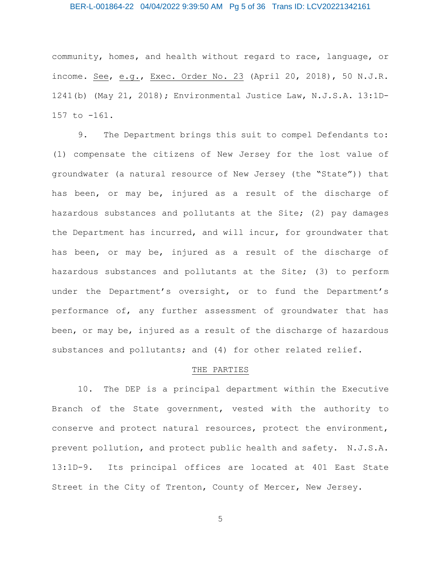# BER-L-001864-22 04/04/2022 9:39:50 AM Pg 5 of 36 Trans ID: LCV20221342161

community, homes, and health without regard to race, language, or income. See, e.g., Exec. Order No. 23 (April 20, 2018), 50 N.J.R. 1241(b) (May 21, 2018); Environmental Justice Law, N.J.S.A. 13:1D-157 to -161.

9. The Department brings this suit to compel Defendants to: (1) compensate the citizens of New Jersey for the lost value of groundwater (a natural resource of New Jersey (the "State")) that has been, or may be, injured as a result of the discharge of hazardous substances and pollutants at the Site; (2) pay damages the Department has incurred, and will incur, for groundwater that has been, or may be, injured as a result of the discharge of hazardous substances and pollutants at the Site; (3) to perform under the Department's oversight, or to fund the Department's performance of, any further assessment of groundwater that has been, or may be, injured as a result of the discharge of hazardous substances and pollutants; and (4) for other related relief.

## THE PARTIES

10. The DEP is a principal department within the Executive Branch of the State government, vested with the authority to conserve and protect natural resources, protect the environment, prevent pollution, and protect public health and safety. N.J.S.A. 13:1D-9. Its principal offices are located at 401 East State Street in the City of Trenton, County of Mercer, New Jersey.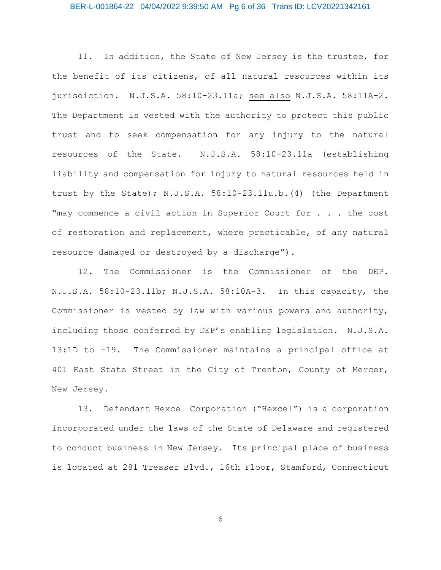# BER-L-001864-22 04/04/2022 9:39:50 AM Pg 6 of 36 Trans ID: LCV20221342161

11. In addition, the State of New Jersey is the trustee, for the benefit of its citizens, of all natural resources within its jurisdiction. N.J.S.A. 58:10-23.11a; see also N.J.S.A. 58:11A-2. The Department is vested with the authority to protect this public trust and to seek compensation for any injury to the natural resources of the State. N.J.S.A. 58:10-23.11a (establishing liability and compensation for injury to natural resources held in trust by the State); N.J.S.A. 58:10-23.11u.b.(4) (the Department "may commence a civil action in Superior Court for . . . the cost of restoration and replacement, where practicable, of any natural resource damaged or destroyed by a discharge").

12. The Commissioner is the Commissioner of the DEP. N.J.S.A. 58:10-23.11b; N.J.S.A. 58:10A-3. In this capacity, the Commissioner is vested by law with various powers and authority, including those conferred by DEP's enabling legislation. N.J.S.A. 13:1D to -19. The Commissioner maintains a principal office at 401 East State Street in the City of Trenton, County of Mercer, New Jersey.

13. Defendant Hexcel Corporation ("Hexcel") is a corporation incorporated under the laws of the State of Delaware and registered to conduct business in New Jersey. Its principal place of business is located at 281 Tresser Blvd., 16th Floor, Stamford, Connecticut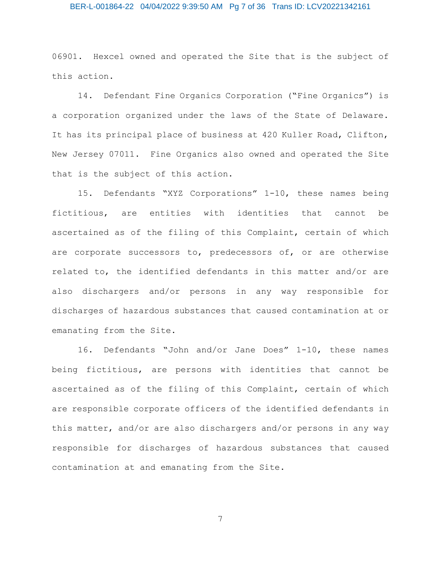# BER-L-001864-22 04/04/2022 9:39:50 AM Pg 7 of 36 Trans ID: LCV20221342161

06901. Hexcel owned and operated the Site that is the subject of this action.

14. Defendant Fine Organics Corporation ("Fine Organics") is a corporation organized under the laws of the State of Delaware. It has its principal place of business at 420 Kuller Road, Clifton, New Jersey 07011. Fine Organics also owned and operated the Site that is the subject of this action.

15. Defendants "XYZ Corporations" 1-10, these names being fictitious, are entities with identities that cannot be ascertained as of the filing of this Complaint, certain of which are corporate successors to, predecessors of, or are otherwise related to, the identified defendants in this matter and/or are also dischargers and/or persons in any way responsible for discharges of hazardous substances that caused contamination at or emanating from the Site.

16. Defendants "John and/or Jane Does" 1-10, these names being fictitious, are persons with identities that cannot be ascertained as of the filing of this Complaint, certain of which are responsible corporate officers of the identified defendants in this matter, and/or are also dischargers and/or persons in any way responsible for discharges of hazardous substances that caused contamination at and emanating from the Site.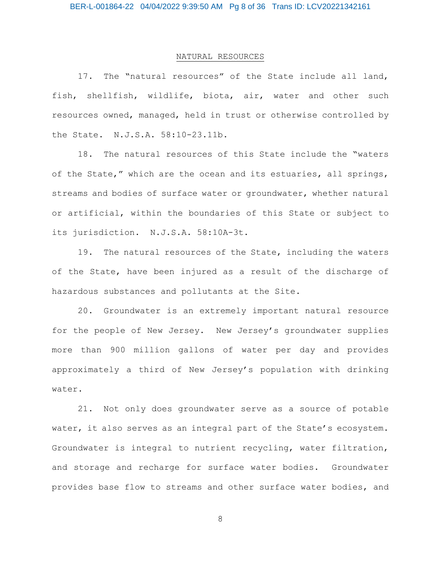# NATURAL RESOURCES

17. The "natural resources" of the State include all land, fish, shellfish, wildlife, biota, air, water and other such resources owned, managed, held in trust or otherwise controlled by the State. N.J.S.A. 58:10-23.11b.

18. The natural resources of this State include the "waters of the State," which are the ocean and its estuaries, all springs, streams and bodies of surface water or groundwater, whether natural or artificial, within the boundaries of this State or subject to its jurisdiction. N.J.S.A. 58:10A-3t.

19. The natural resources of the State, including the waters of the State, have been injured as a result of the discharge of hazardous substances and pollutants at the Site.

20. Groundwater is an extremely important natural resource for the people of New Jersey. New Jersey's groundwater supplies more than 900 million gallons of water per day and provides approximately a third of New Jersey's population with drinking water.

21. Not only does groundwater serve as a source of potable water, it also serves as an integral part of the State's ecosystem. Groundwater is integral to nutrient recycling, water filtration, and storage and recharge for surface water bodies. Groundwater provides base flow to streams and other surface water bodies, and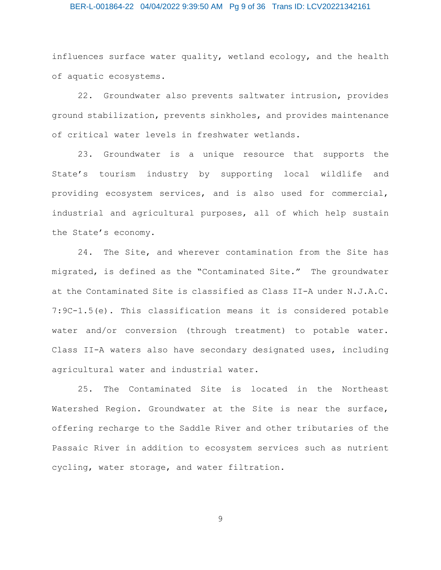# BER-L-001864-22 04/04/2022 9:39:50 AM Pg 9 of 36 Trans ID: LCV20221342161

influences surface water quality, wetland ecology, and the health of aquatic ecosystems.

22. Groundwater also prevents saltwater intrusion, provides ground stabilization, prevents sinkholes, and provides maintenance of critical water levels in freshwater wetlands.

23. Groundwater is a unique resource that supports the State's tourism industry by supporting local wildlife and providing ecosystem services, and is also used for commercial, industrial and agricultural purposes, all of which help sustain the State's economy.

24. The Site, and wherever contamination from the Site has migrated, is defined as the "Contaminated Site." The groundwater at the Contaminated Site is classified as Class II-A under N.J.A.C. 7:9C-1.5(e). This classification means it is considered potable water and/or conversion (through treatment) to potable water. Class II-A waters also have secondary designated uses, including agricultural water and industrial water.

25. The Contaminated Site is located in the Northeast Watershed Region. Groundwater at the Site is near the surface, offering recharge to the Saddle River and other tributaries of the Passaic River in addition to ecosystem services such as nutrient cycling, water storage, and water filtration.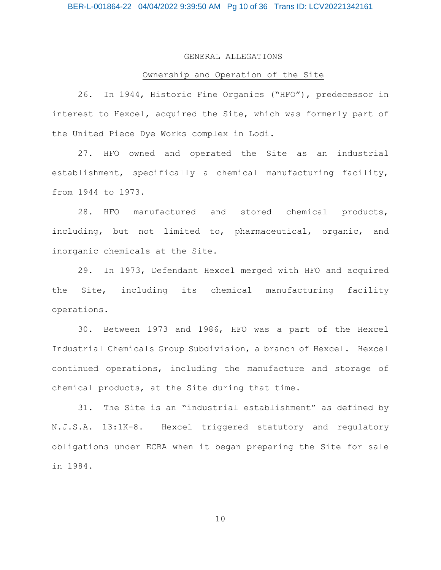## GENERAL ALLEGATIONS

# Ownership and Operation of the Site

26. In 1944, Historic Fine Organics ("HFO"), predecessor in interest to Hexcel, acquired the Site, which was formerly part of the United Piece Dye Works complex in Lodi.

27. HFO owned and operated the Site as an industrial establishment, specifically a chemical manufacturing facility, from 1944 to 1973.

28. HFO manufactured and stored chemical products, including, but not limited to, pharmaceutical, organic, and inorganic chemicals at the Site.

29. In 1973, Defendant Hexcel merged with HFO and acquired the Site, including its chemical manufacturing facility operations.

30. Between 1973 and 1986, HFO was a part of the Hexcel Industrial Chemicals Group Subdivision, a branch of Hexcel. Hexcel continued operations, including the manufacture and storage of chemical products, at the Site during that time.

31. The Site is an "industrial establishment" as defined by N.J.S.A. 13:1K-8. Hexcel triggered statutory and regulatory obligations under ECRA when it began preparing the Site for sale in 1984.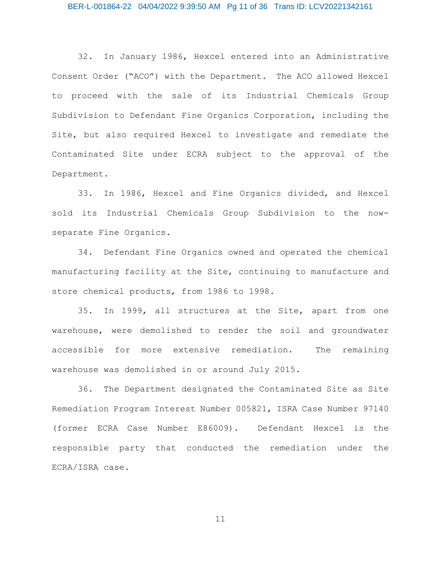32. In January 1986, Hexcel entered into an Administrative Consent Order ("ACO") with the Department. The ACO allowed Hexcel to proceed with the sale of its Industrial Chemicals Group Subdivision to Defendant Fine Organics Corporation, including the Site, but also required Hexcel to investigate and remediate the Contaminated Site under ECRA subject to the approval of the Department.

33. In 1986, Hexcel and Fine Organics divided, and Hexcel sold its Industrial Chemicals Group Subdivision to the nowseparate Fine Organics.

34. Defendant Fine Organics owned and operated the chemical manufacturing facility at the Site, continuing to manufacture and store chemical products, from 1986 to 1998.

35. In 1999, all structures at the Site, apart from one warehouse, were demolished to render the soil and groundwater accessible for more extensive remediation. The remaining warehouse was demolished in or around July 2015.

36. The Department designated the Contaminated Site as Site Remediation Program Interest Number 005821, ISRA Case Number 97140 (former ECRA Case Number E86009). Defendant Hexcel is the responsible party that conducted the remediation under the ECRA/ISRA case.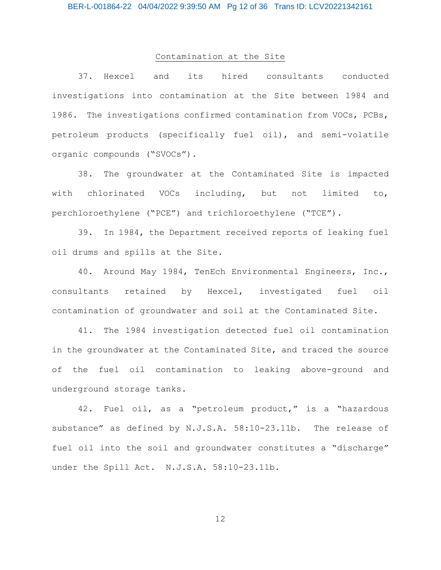# Contamination at the Site

37. Hexcel and its hired consultants conducted investigations into contamination at the Site between 1984 and 1986. The investigations confirmed contamination from VOCs, PCBs, petroleum products (specifically fuel oil), and semi-volatile organic compounds ("SVOCs").

38. The groundwater at the Contaminated Site is impacted with chlorinated VOCs including, but not limited to, perchloroethylene ("PCE") and trichloroethylene ("TCE").

39. In 1984, the Department received reports of leaking fuel oil drums and spills at the Site.

40. Around May 1984, TenEch Environmental Engineers, Inc., consultants retained by Hexcel, investigated fuel oil contamination of groundwater and soil at the Contaminated Site.

41. The 1984 investigation detected fuel oil contamination in the groundwater at the Contaminated Site, and traced the source of the fuel oil contamination to leaking above-ground and underground storage tanks.

42. Fuel oil, as a "petroleum product," is a "hazardous substance" as defined by N.J.S.A. 58:10-23.11b. The release of fuel oil into the soil and groundwater constitutes a "discharge" under the Spill Act. N.J.S.A. 58:10-23.11b.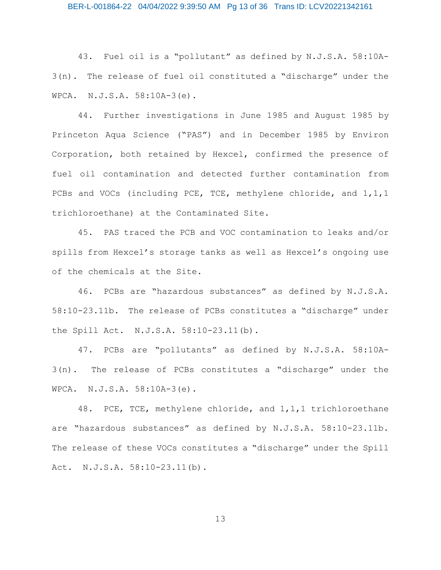43. Fuel oil is a "pollutant" as defined by N.J.S.A. 58:10A-3(n). The release of fuel oil constituted a "discharge" under the WPCA. N.J.S.A. 58:10A-3(e).

44. Further investigations in June 1985 and August 1985 by Princeton Aqua Science ("PAS") and in December 1985 by Environ Corporation, both retained by Hexcel, confirmed the presence of fuel oil contamination and detected further contamination from PCBs and VOCs (including PCE, TCE, methylene chloride, and 1,1,1 trichloroethane) at the Contaminated Site.

45. PAS traced the PCB and VOC contamination to leaks and/or spills from Hexcel's storage tanks as well as Hexcel's ongoing use of the chemicals at the Site.

46. PCBs are "hazardous substances" as defined by N.J.S.A. 58:10-23.11b. The release of PCBs constitutes a "discharge" under the Spill Act. N.J.S.A. 58:10-23.11(b).

47. PCBs are "pollutants" as defined by N.J.S.A. 58:10A-3(n). The release of PCBs constitutes a "discharge" under the WPCA. N.J.S.A. 58:10A-3(e).

48. PCE, TCE, methylene chloride, and 1,1,1 trichloroethane are "hazardous substances" as defined by N.J.S.A. 58:10-23.11b. The release of these VOCs constitutes a "discharge" under the Spill Act. N.J.S.A. 58:10-23.11(b).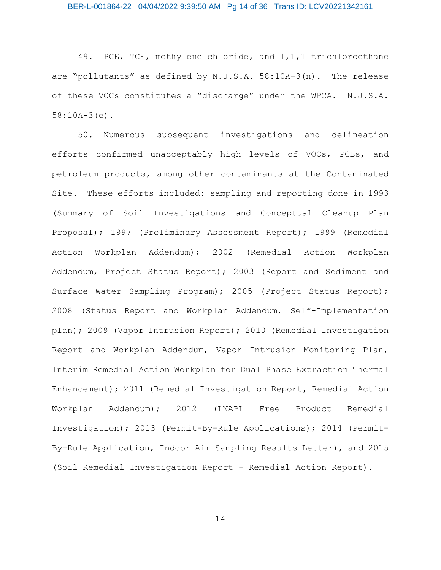49. PCE, TCE, methylene chloride, and 1,1,1 trichloroethane are "pollutants" as defined by N.J.S.A. 58:10A-3(n). The release of these VOCs constitutes a "discharge" under the WPCA. N.J.S.A. 58:10A-3(e).

50. Numerous subsequent investigations and delineation efforts confirmed unacceptably high levels of VOCs, PCBs, and petroleum products, among other contaminants at the Contaminated Site. These efforts included: sampling and reporting done in 1993 (Summary of Soil Investigations and Conceptual Cleanup Plan Proposal); 1997 (Preliminary Assessment Report); 1999 (Remedial Action Workplan Addendum); 2002 (Remedial Action Workplan Addendum, Project Status Report); 2003 (Report and Sediment and Surface Water Sampling Program); 2005 (Project Status Report); 2008 (Status Report and Workplan Addendum, Self-Implementation plan); 2009 (Vapor Intrusion Report); 2010 (Remedial Investigation Report and Workplan Addendum, Vapor Intrusion Monitoring Plan, Interim Remedial Action Workplan for Dual Phase Extraction Thermal Enhancement); 2011 (Remedial Investigation Report, Remedial Action Workplan Addendum); 2012 (LNAPL Free Product Remedial Investigation); 2013 (Permit-By-Rule Applications); 2014 (Permit-By-Rule Application, Indoor Air Sampling Results Letter), and 2015 (Soil Remedial Investigation Report - Remedial Action Report).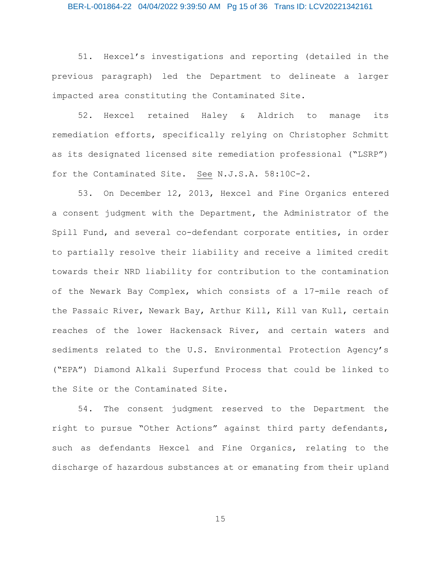## BER-L-001864-22 04/04/2022 9:39:50 AM Pg 15 of 36 Trans ID: LCV20221342161

51. Hexcel's investigations and reporting (detailed in the previous paragraph) led the Department to delineate a larger impacted area constituting the Contaminated Site.

52. Hexcel retained Haley & Aldrich to manage its remediation efforts, specifically relying on Christopher Schmitt as its designated licensed site remediation professional ("LSRP") for the Contaminated Site. See N.J.S.A. 58:10C-2.

53. On December 12, 2013, Hexcel and Fine Organics entered a consent judgment with the Department, the Administrator of the Spill Fund, and several co-defendant corporate entities, in order to partially resolve their liability and receive a limited credit towards their NRD liability for contribution to the contamination of the Newark Bay Complex, which consists of a 17-mile reach of the Passaic River, Newark Bay, Arthur Kill, Kill van Kull, certain reaches of the lower Hackensack River, and certain waters and sediments related to the U.S. Environmental Protection Agency's ("EPA") Diamond Alkali Superfund Process that could be linked to the Site or the Contaminated Site.

54. The consent judgment reserved to the Department the right to pursue "Other Actions" against third party defendants, such as defendants Hexcel and Fine Organics, relating to the discharge of hazardous substances at or emanating from their upland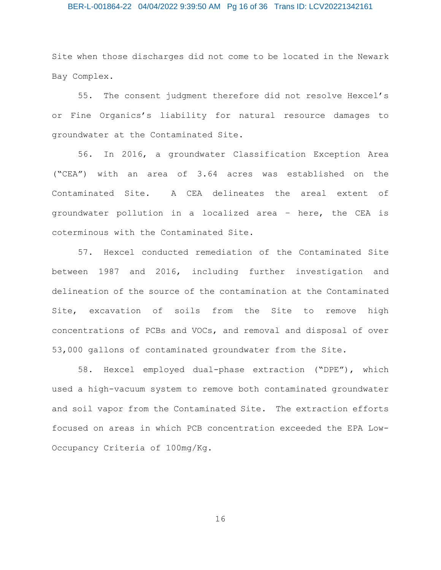# BER-L-001864-22 04/04/2022 9:39:50 AM Pg 16 of 36 Trans ID: LCV20221342161

Site when those discharges did not come to be located in the Newark Bay Complex.

55. The consent judgment therefore did not resolve Hexcel's or Fine Organics's liability for natural resource damages to groundwater at the Contaminated Site.

56. In 2016, a groundwater Classification Exception Area ("CEA") with an area of 3.64 acres was established on the Contaminated Site. A CEA delineates the areal extent of groundwater pollution in a localized area – here, the CEA is coterminous with the Contaminated Site.

57. Hexcel conducted remediation of the Contaminated Site between 1987 and 2016, including further investigation and delineation of the source of the contamination at the Contaminated Site, excavation of soils from the Site to remove high concentrations of PCBs and VOCs, and removal and disposal of over 53,000 gallons of contaminated groundwater from the Site.

58. Hexcel employed dual-phase extraction ("DPE"), which used a high-vacuum system to remove both contaminated groundwater and soil vapor from the Contaminated Site. The extraction efforts focused on areas in which PCB concentration exceeded the EPA Low-Occupancy Criteria of 100mg/Kg.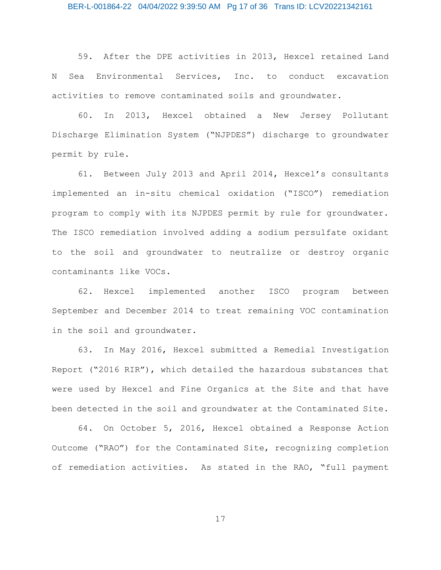59. After the DPE activities in 2013, Hexcel retained Land N Sea Environmental Services, Inc. to conduct excavation activities to remove contaminated soils and groundwater.

60. In 2013, Hexcel obtained a New Jersey Pollutant Discharge Elimination System ("NJPDES") discharge to groundwater permit by rule.

61. Between July 2013 and April 2014, Hexcel's consultants implemented an in-situ chemical oxidation ("ISCO") remediation program to comply with its NJPDES permit by rule for groundwater. The ISCO remediation involved adding a sodium persulfate oxidant to the soil and groundwater to neutralize or destroy organic contaminants like VOCs.

62. Hexcel implemented another ISCO program between September and December 2014 to treat remaining VOC contamination in the soil and groundwater.

63. In May 2016, Hexcel submitted a Remedial Investigation Report ("2016 RIR"), which detailed the hazardous substances that were used by Hexcel and Fine Organics at the Site and that have been detected in the soil and groundwater at the Contaminated Site.

64. On October 5, 2016, Hexcel obtained a Response Action Outcome ("RAO") for the Contaminated Site, recognizing completion of remediation activities. As stated in the RAO, "full payment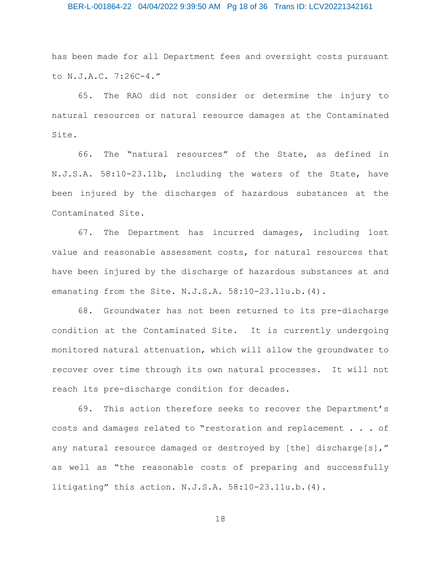## BER-L-001864-22 04/04/2022 9:39:50 AM Pg 18 of 36 Trans ID: LCV20221342161

has been made for all Department fees and oversight costs pursuant to N.J.A.C. 7:26C-4."

65. The RAO did not consider or determine the injury to natural resources or natural resource damages at the Contaminated Site.

66. The "natural resources" of the State, as defined in N.J.S.A. 58:10-23.11b, including the waters of the State, have been injured by the discharges of hazardous substances at the Contaminated Site.

67. The Department has incurred damages, including lost value and reasonable assessment costs, for natural resources that have been injured by the discharge of hazardous substances at and emanating from the Site. N.J.S.A. 58:10-23.11u.b.(4).

68. Groundwater has not been returned to its pre-discharge condition at the Contaminated Site. It is currently undergoing monitored natural attenuation, which will allow the groundwater to recover over time through its own natural processes. It will not reach its pre-discharge condition for decades.

69. This action therefore seeks to recover the Department's costs and damages related to "restoration and replacement . . . of any natural resource damaged or destroyed by [the] discharge[s]," as well as "the reasonable costs of preparing and successfully litigating" this action. N.J.S.A. 58:10-23.11u.b.(4).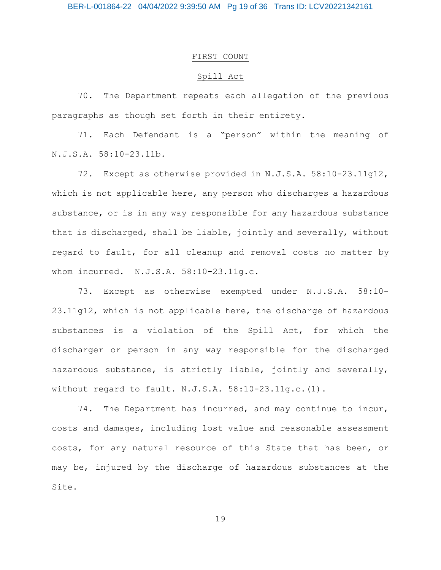# FIRST COUNT

# Spill Act

70. The Department repeats each allegation of the previous paragraphs as though set forth in their entirety.

71. Each Defendant is a "person" within the meaning of N.J.S.A. 58:10-23.11b.

72. Except as otherwise provided in N.J.S.A. 58:10-23.11g12, which is not applicable here, any person who discharges a hazardous substance, or is in any way responsible for any hazardous substance that is discharged, shall be liable, jointly and severally, without regard to fault, for all cleanup and removal costs no matter by whom incurred. N.J.S.A. 58:10-23.11g.c.

73. Except as otherwise exempted under N.J.S.A. 58:10- 23.11g12, which is not applicable here, the discharge of hazardous substances is a violation of the Spill Act, for which the discharger or person in any way responsible for the discharged hazardous substance, is strictly liable, jointly and severally, without regard to fault. N.J.S.A. 58:10-23.11g.c.(1).

74. The Department has incurred, and may continue to incur, costs and damages, including lost value and reasonable assessment costs, for any natural resource of this State that has been, or may be, injured by the discharge of hazardous substances at the Site.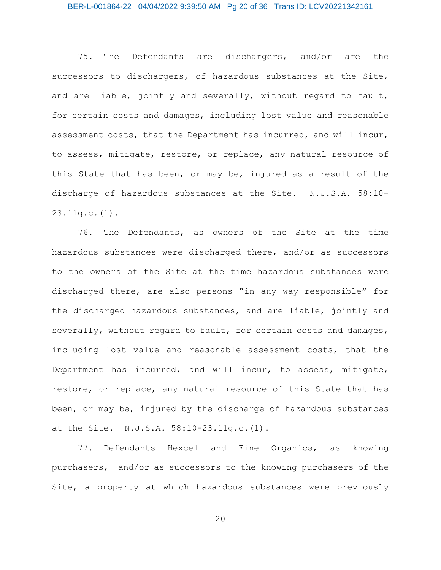## BER-L-001864-22 04/04/2022 9:39:50 AM Pg 20 of 36 Trans ID: LCV20221342161

75. The Defendants are dischargers, and/or are the successors to dischargers, of hazardous substances at the Site, and are liable, jointly and severally, without regard to fault, for certain costs and damages, including lost value and reasonable assessment costs, that the Department has incurred, and will incur, to assess, mitigate, restore, or replace, any natural resource of this State that has been, or may be, injured as a result of the discharge of hazardous substances at the Site. N.J.S.A. 58:10- 23.11g.c.(1).

76. The Defendants, as owners of the Site at the time hazardous substances were discharged there, and/or as successors to the owners of the Site at the time hazardous substances were discharged there, are also persons "in any way responsible" for the discharged hazardous substances, and are liable, jointly and severally, without regard to fault, for certain costs and damages, including lost value and reasonable assessment costs, that the Department has incurred, and will incur, to assess, mitigate, restore, or replace, any natural resource of this State that has been, or may be, injured by the discharge of hazardous substances at the Site. N.J.S.A. 58:10-23.11g.c.(1).

77. Defendants Hexcel and Fine Organics, as knowing purchasers, and/or as successors to the knowing purchasers of the Site, a property at which hazardous substances were previously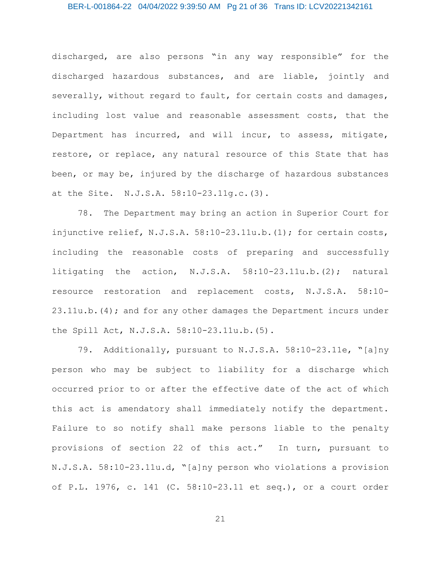discharged, are also persons "in any way responsible" for the discharged hazardous substances, and are liable, jointly and severally, without regard to fault, for certain costs and damages, including lost value and reasonable assessment costs, that the Department has incurred, and will incur, to assess, mitigate, restore, or replace, any natural resource of this State that has been, or may be, injured by the discharge of hazardous substances at the Site. N.J.S.A. 58:10-23.11g.c.(3).

78. The Department may bring an action in Superior Court for injunctive relief, N.J.S.A. 58:10-23.11u.b.(1); for certain costs, including the reasonable costs of preparing and successfully litigating the action, N.J.S.A. 58:10-23.11u.b.(2); natural resource restoration and replacement costs, N.J.S.A. 58:10- 23.11u.b.(4); and for any other damages the Department incurs under the Spill Act, N.J.S.A. 58:10-23.11u.b.(5).

79. Additionally, pursuant to N.J.S.A. 58:10-23.11e, "[a]ny person who may be subject to liability for a discharge which occurred prior to or after the effective date of the act of which this act is amendatory shall immediately notify the department. Failure to so notify shall make persons liable to the penalty provisions of section 22 of this act." In turn, pursuant to N.J.S.A. 58:10-23.11u.d, "[a]ny person who violations a provision of P.L. 1976, c. 141 (C. 58:10-23.11 et seq.), or a court order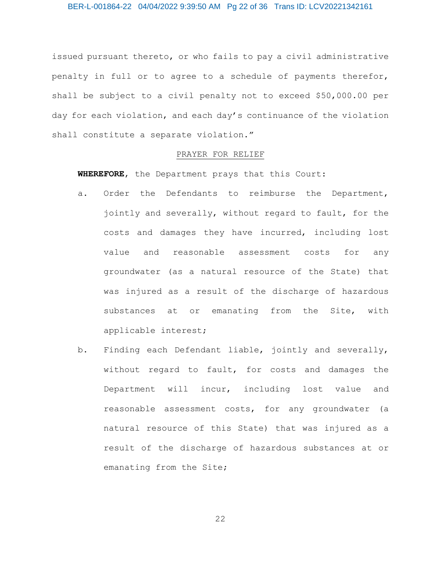issued pursuant thereto, or who fails to pay a civil administrative penalty in full or to agree to a schedule of payments therefor, shall be subject to a civil penalty not to exceed \$50,000.00 per day for each violation, and each day's continuance of the violation shall constitute a separate violation."

### PRAYER FOR RELIEF

**WHEREFORE**, the Department prays that this Court:

- a. Order the Defendants to reimburse the Department, jointly and severally, without regard to fault, for the costs and damages they have incurred, including lost value and reasonable assessment costs for any groundwater (as a natural resource of the State) that was injured as a result of the discharge of hazardous substances at or emanating from the Site, with applicable interest;
- b. Finding each Defendant liable, jointly and severally, without regard to fault, for costs and damages the Department will incur, including lost value and reasonable assessment costs, for any groundwater (a natural resource of this State) that was injured as a result of the discharge of hazardous substances at or emanating from the Site;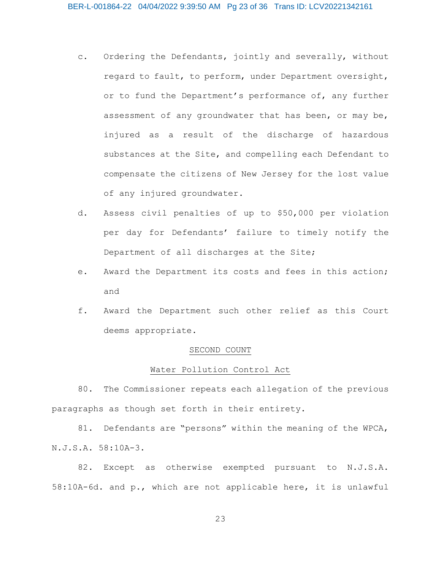- c. Ordering the Defendants, jointly and severally, without regard to fault, to perform, under Department oversight, or to fund the Department's performance of, any further assessment of any groundwater that has been, or may be, injured as a result of the discharge of hazardous substances at the Site, and compelling each Defendant to compensate the citizens of New Jersey for the lost value of any injured groundwater.
- d. Assess civil penalties of up to \$50,000 per violation per day for Defendants' failure to timely notify the Department of all discharges at the Site;
- e. Award the Department its costs and fees in this action; and
- f. Award the Department such other relief as this Court deems appropriate.

#### SECOND COUNT

#### Water Pollution Control Act

80. The Commissioner repeats each allegation of the previous paragraphs as though set forth in their entirety.

81. Defendants are "persons" within the meaning of the WPCA, N.J.S.A. 58:10A-3.

82. Except as otherwise exempted pursuant to N.J.S.A. 58:10A-6d. and p., which are not applicable here, it is unlawful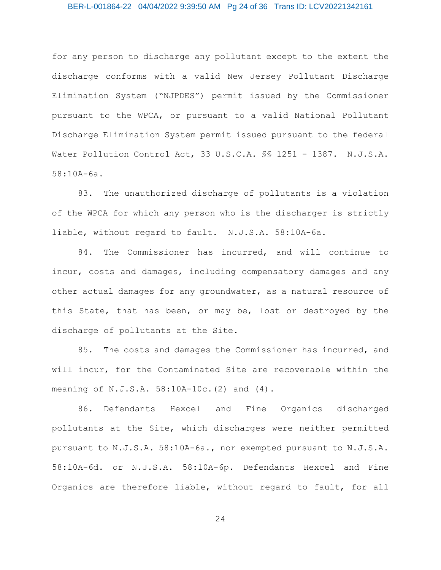## BER-L-001864-22 04/04/2022 9:39:50 AM Pg 24 of 36 Trans ID: LCV20221342161

for any person to discharge any pollutant except to the extent the discharge conforms with a valid New Jersey Pollutant Discharge Elimination System ("NJPDES") permit issued by the Commissioner pursuant to the WPCA, or pursuant to a valid National Pollutant Discharge Elimination System permit issued pursuant to the federal Water Pollution Control Act, 33 U.S.C.A. §§ 1251 - 1387. N.J.S.A. 58:10A-6a.

83. The unauthorized discharge of pollutants is a violation of the WPCA for which any person who is the discharger is strictly liable, without regard to fault. N.J.S.A. 58:10A-6a.

84. The Commissioner has incurred, and will continue to incur, costs and damages, including compensatory damages and any other actual damages for any groundwater, as a natural resource of this State, that has been, or may be, lost or destroyed by the discharge of pollutants at the Site.

85. The costs and damages the Commissioner has incurred, and will incur, for the Contaminated Site are recoverable within the meaning of N.J.S.A. 58:10A-10c.(2) and (4).

86. Defendants Hexcel and Fine Organics discharged pollutants at the Site, which discharges were neither permitted pursuant to N.J.S.A. 58:10A-6a., nor exempted pursuant to N.J.S.A. 58:10A-6d. or N.J.S.A. 58:10A-6p. Defendants Hexcel and Fine Organics are therefore liable, without regard to fault, for all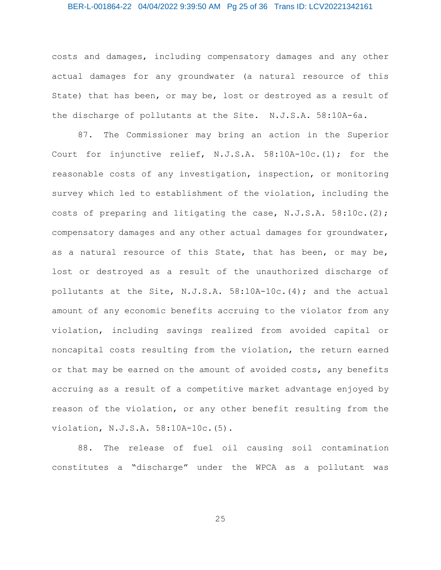## BER-L-001864-22 04/04/2022 9:39:50 AM Pg 25 of 36 Trans ID: LCV20221342161

costs and damages, including compensatory damages and any other actual damages for any groundwater (a natural resource of this State) that has been, or may be, lost or destroyed as a result of the discharge of pollutants at the Site. N.J.S.A. 58:10A-6a.

87. The Commissioner may bring an action in the Superior Court for injunctive relief, N.J.S.A. 58:10A-10c.(1); for the reasonable costs of any investigation, inspection, or monitoring survey which led to establishment of the violation, including the costs of preparing and litigating the case, N.J.S.A. 58:10c.(2); compensatory damages and any other actual damages for groundwater, as a natural resource of this State, that has been, or may be, lost or destroyed as a result of the unauthorized discharge of pollutants at the Site, N.J.S.A. 58:10A-10c.(4); and the actual amount of any economic benefits accruing to the violator from any violation, including savings realized from avoided capital or noncapital costs resulting from the violation, the return earned or that may be earned on the amount of avoided costs, any benefits accruing as a result of a competitive market advantage enjoyed by reason of the violation, or any other benefit resulting from the violation, N.J.S.A. 58:10A-10c.(5).

88. The release of fuel oil causing soil contamination constitutes a "discharge" under the WPCA as a pollutant was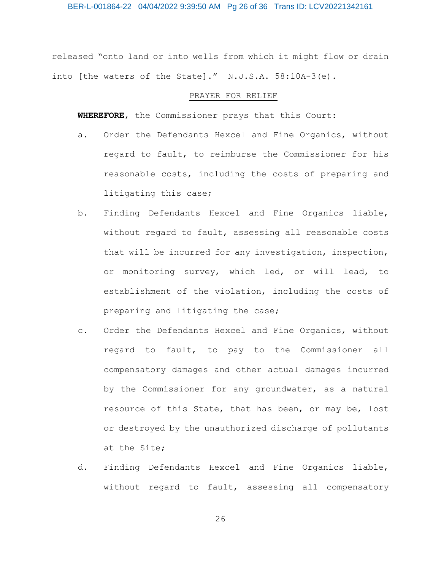BER-L-001864-22 04/04/2022 9:39:50 AM Pg 26 of 36 Trans ID: LCV20221342161

released "onto land or into wells from which it might flow or drain into [the waters of the State]." N.J.S.A. 58:10A-3(e).

#### PRAYER FOR RELIEF

**WHEREFORE**, the Commissioner prays that this Court:

- a. Order the Defendants Hexcel and Fine Organics, without regard to fault, to reimburse the Commissioner for his reasonable costs, including the costs of preparing and litigating this case;
- b. Finding Defendants Hexcel and Fine Organics liable, without regard to fault, assessing all reasonable costs that will be incurred for any investigation, inspection, or monitoring survey, which led, or will lead, to establishment of the violation, including the costs of preparing and litigating the case;
- c. Order the Defendants Hexcel and Fine Organics, without regard to fault, to pay to the Commissioner all compensatory damages and other actual damages incurred by the Commissioner for any groundwater, as a natural resource of this State, that has been, or may be, lost or destroyed by the unauthorized discharge of pollutants at the Site;
- d. Finding Defendants Hexcel and Fine Organics liable, without regard to fault, assessing all compensatory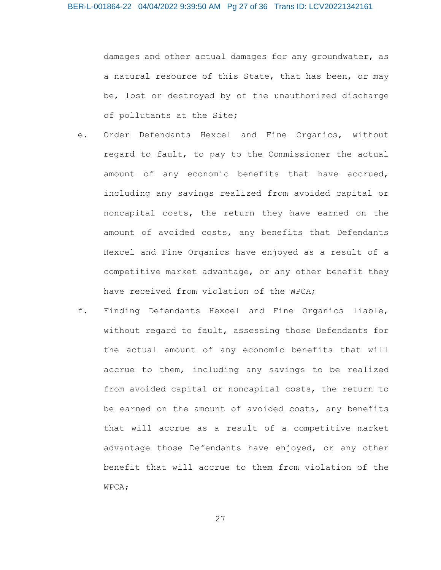damages and other actual damages for any groundwater, as a natural resource of this State, that has been, or may be, lost or destroyed by of the unauthorized discharge of pollutants at the Site;

- e. Order Defendants Hexcel and Fine Organics, without regard to fault, to pay to the Commissioner the actual amount of any economic benefits that have accrued, including any savings realized from avoided capital or noncapital costs, the return they have earned on the amount of avoided costs, any benefits that Defendants Hexcel and Fine Organics have enjoyed as a result of a competitive market advantage, or any other benefit they have received from violation of the WPCA;
- f. Finding Defendants Hexcel and Fine Organics liable, without regard to fault, assessing those Defendants for the actual amount of any economic benefits that will accrue to them, including any savings to be realized from avoided capital or noncapital costs, the return to be earned on the amount of avoided costs, any benefits that will accrue as a result of a competitive market advantage those Defendants have enjoyed, or any other benefit that will accrue to them from violation of the WPCA;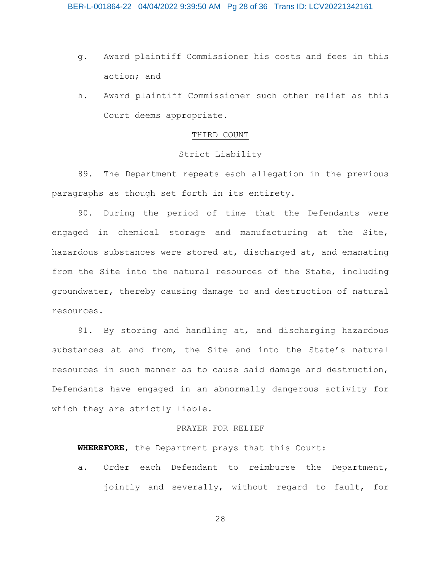- g. Award plaintiff Commissioner his costs and fees in this action; and
- h. Award plaintiff Commissioner such other relief as this Court deems appropriate.

# THIRD COUNT

# Strict Liability

89. The Department repeats each allegation in the previous paragraphs as though set forth in its entirety.

90. During the period of time that the Defendants were engaged in chemical storage and manufacturing at the Site, hazardous substances were stored at, discharged at, and emanating from the Site into the natural resources of the State, including groundwater, thereby causing damage to and destruction of natural resources.

91. By storing and handling at, and discharging hazardous substances at and from, the Site and into the State's natural resources in such manner as to cause said damage and destruction, Defendants have engaged in an abnormally dangerous activity for which they are strictly liable.

### PRAYER FOR RELIEF

**WHEREFORE**, the Department prays that this Court:

a. Order each Defendant to reimburse the Department, jointly and severally, without regard to fault, for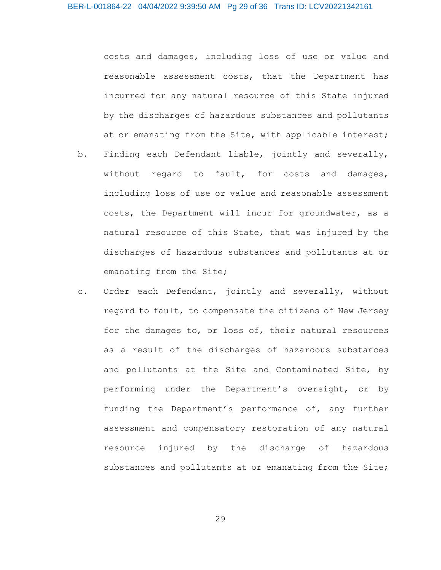costs and damages, including loss of use or value and reasonable assessment costs, that the Department has incurred for any natural resource of this State injured by the discharges of hazardous substances and pollutants at or emanating from the Site, with applicable interest;

- b. Finding each Defendant liable, jointly and severally, without regard to fault, for costs and damages, including loss of use or value and reasonable assessment costs, the Department will incur for groundwater, as a natural resource of this State, that was injured by the discharges of hazardous substances and pollutants at or emanating from the Site;
- c. Order each Defendant, jointly and severally, without regard to fault, to compensate the citizens of New Jersey for the damages to, or loss of, their natural resources as a result of the discharges of hazardous substances and pollutants at the Site and Contaminated Site, by performing under the Department's oversight, or by funding the Department's performance of, any further assessment and compensatory restoration of any natural resource injured by the discharge of hazardous substances and pollutants at or emanating from the Site;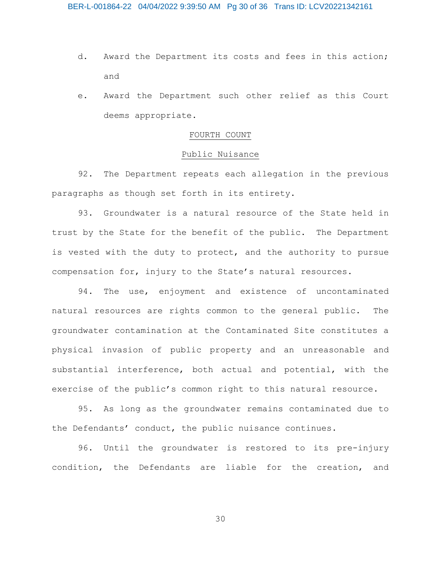- d. Award the Department its costs and fees in this action; and
- e. Award the Department such other relief as this Court deems appropriate.

# FOURTH COUNT

# Public Nuisance

92. The Department repeats each allegation in the previous paragraphs as though set forth in its entirety.

93. Groundwater is a natural resource of the State held in trust by the State for the benefit of the public. The Department is vested with the duty to protect, and the authority to pursue compensation for, injury to the State's natural resources.

94. The use, enjoyment and existence of uncontaminated natural resources are rights common to the general public. The groundwater contamination at the Contaminated Site constitutes a physical invasion of public property and an unreasonable and substantial interference, both actual and potential, with the exercise of the public's common right to this natural resource.

95. As long as the groundwater remains contaminated due to the Defendants' conduct, the public nuisance continues.

96. Until the groundwater is restored to its pre-injury condition, the Defendants are liable for the creation, and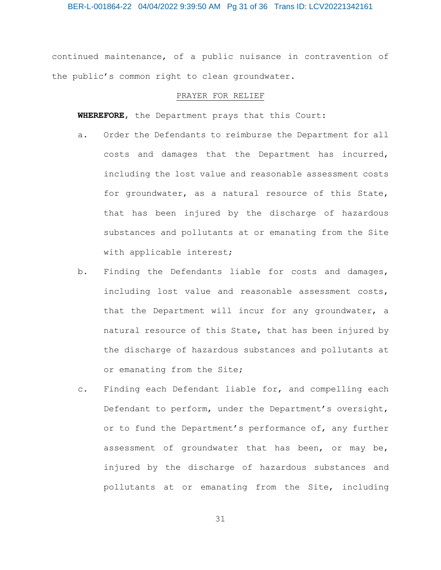continued maintenance, of a public nuisance in contravention of the public's common right to clean groundwater.

#### PRAYER FOR RELIEF

**WHEREFORE**, the Department prays that this Court:

- a. Order the Defendants to reimburse the Department for all costs and damages that the Department has incurred, including the lost value and reasonable assessment costs for groundwater, as a natural resource of this State, that has been injured by the discharge of hazardous substances and pollutants at or emanating from the Site with applicable interest;
- b. Finding the Defendants liable for costs and damages, including lost value and reasonable assessment costs, that the Department will incur for any groundwater, a natural resource of this State, that has been injured by the discharge of hazardous substances and pollutants at or emanating from the Site;
- c. Finding each Defendant liable for, and compelling each Defendant to perform, under the Department's oversight, or to fund the Department's performance of, any further assessment of groundwater that has been, or may be, injured by the discharge of hazardous substances and pollutants at or emanating from the Site, including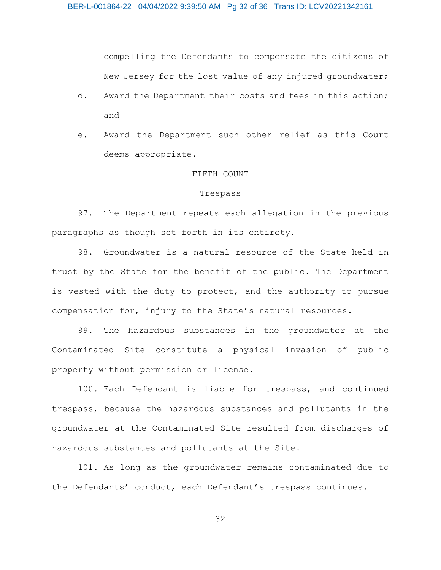compelling the Defendants to compensate the citizens of New Jersey for the lost value of any injured groundwater;

- d. Award the Department their costs and fees in this action; and
- e. Award the Department such other relief as this Court deems appropriate.

## FIFTH COUNT

#### Trespass

97. The Department repeats each allegation in the previous paragraphs as though set forth in its entirety.

98. Groundwater is a natural resource of the State held in trust by the State for the benefit of the public. The Department is vested with the duty to protect, and the authority to pursue compensation for, injury to the State's natural resources.

99. The hazardous substances in the groundwater at the Contaminated Site constitute a physical invasion of public property without permission or license.

100. Each Defendant is liable for trespass, and continued trespass, because the hazardous substances and pollutants in the groundwater at the Contaminated Site resulted from discharges of hazardous substances and pollutants at the Site.

101. As long as the groundwater remains contaminated due to the Defendants' conduct, each Defendant's trespass continues.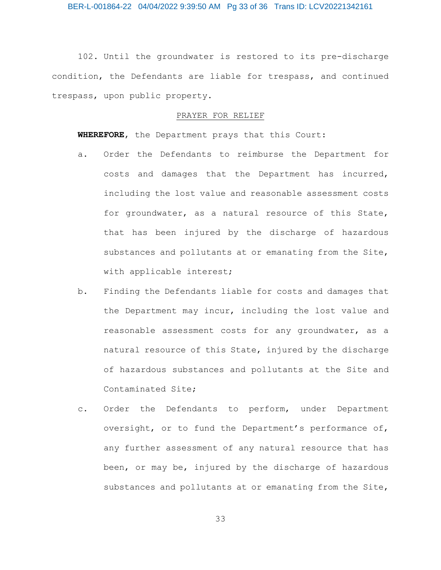102. Until the groundwater is restored to its pre-discharge condition, the Defendants are liable for trespass, and continued trespass, upon public property.

#### PRAYER FOR RELIEF

**WHEREFORE**, the Department prays that this Court:

- a. Order the Defendants to reimburse the Department for costs and damages that the Department has incurred, including the lost value and reasonable assessment costs for groundwater, as a natural resource of this State, that has been injured by the discharge of hazardous substances and pollutants at or emanating from the Site, with applicable interest;
- b. Finding the Defendants liable for costs and damages that the Department may incur, including the lost value and reasonable assessment costs for any groundwater, as a natural resource of this State, injured by the discharge of hazardous substances and pollutants at the Site and Contaminated Site;
- c. Order the Defendants to perform, under Department oversight, or to fund the Department's performance of, any further assessment of any natural resource that has been, or may be, injured by the discharge of hazardous substances and pollutants at or emanating from the Site,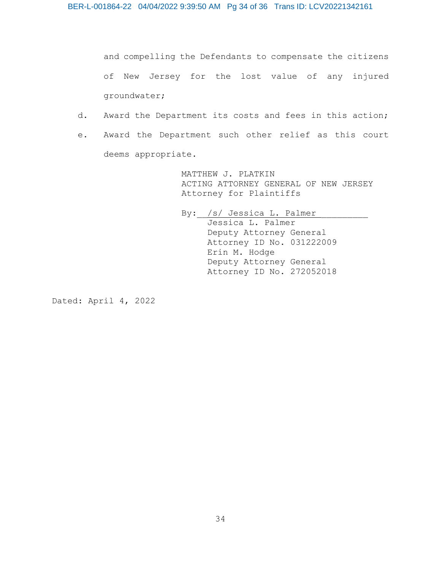and compelling the Defendants to compensate the citizens of New Jersey for the lost value of any injured groundwater;

- d. Award the Department its costs and fees in this action;
- e. Award the Department such other relief as this court deems appropriate.

MATTHEW J. PLATKIN ACTING ATTORNEY GENERAL OF NEW JERSEY Attorney for Plaintiffs

By: /s/ Jessica L. Palmer Jessica L. Palmer Deputy Attorney General Attorney ID No. 031222009 Erin M. Hodge Deputy Attorney General Attorney ID No. 272052018

Dated: April 4, 2022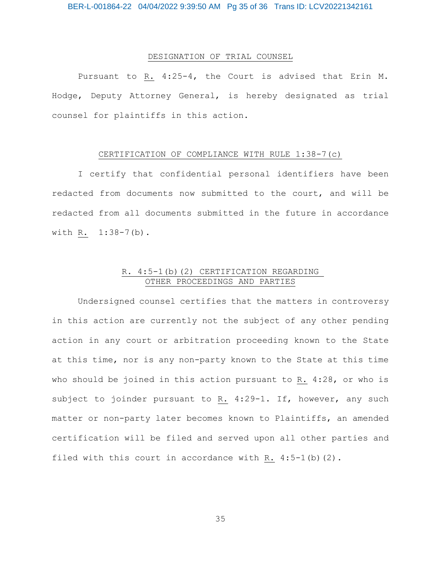# DESIGNATION OF TRIAL COUNSEL

Pursuant to R. 4:25-4, the Court is advised that Erin M. Hodge, Deputy Attorney General, is hereby designated as trial counsel for plaintiffs in this action.

### CERTIFICATION OF COMPLIANCE WITH RULE 1:38-7(c)

I certify that confidential personal identifiers have been redacted from documents now submitted to the court, and will be redacted from all documents submitted in the future in accordance with R. 1:38-7(b).

# R. 4:5-1(b)(2) CERTIFICATION REGARDING OTHER PROCEEDINGS AND PARTIES

Undersigned counsel certifies that the matters in controversy in this action are currently not the subject of any other pending action in any court or arbitration proceeding known to the State at this time, nor is any non-party known to the State at this time who should be joined in this action pursuant to R. 4:28, or who is subject to joinder pursuant to R. 4:29-1. If, however, any such matter or non-party later becomes known to Plaintiffs, an amended certification will be filed and served upon all other parties and filed with this court in accordance with R.  $4:5-1$  (b)  $(2)$ .